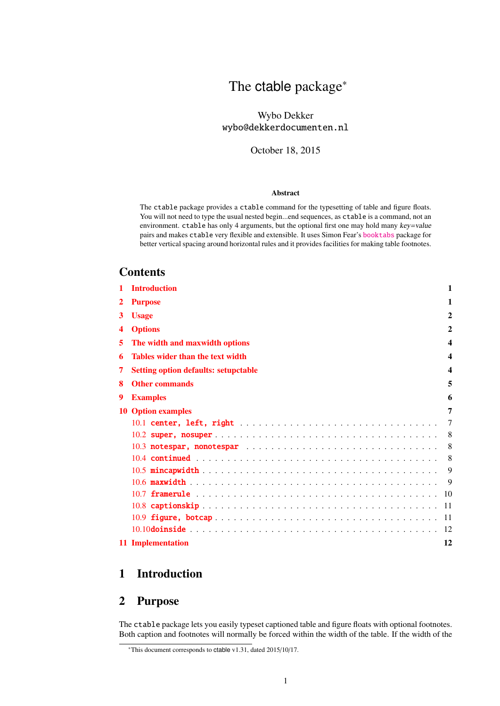# The ctable package<sup>∗</sup>

### Wybo Dekker wybo@dekkerdocumenten.nl

#### October 18, 2015

#### Abstract

The ctable package provides a ctable command for the typesetting of table and figure floats. You will not need to type the usual nested begin...end sequences, as ctable is a command, not an environment. ctable has only 4 arguments, but the optional first one may hold many key=value pairs and makes ctable very flexible and extensible. It uses Simon Fear's [booktabs](http://www.ctan.org/pkg/booktabs) package for better vertical spacing around horizontal rules and it provides facilities for making table footnotes.

### **Contents**

| 1 | <b>Introduction</b>                         | 1              |
|---|---------------------------------------------|----------------|
| 2 | <b>Purpose</b>                              | 1              |
| 3 | <b>Usage</b>                                | $\overline{2}$ |
| 4 | <b>Options</b>                              | $\overline{2}$ |
| 5 | The width and maxwidth options              | 4              |
| 6 | <b>Tables wider than the text width</b>     | 4              |
| 7 | <b>Setting option defaults: setupctable</b> | 4              |
| 8 | <b>Other commands</b>                       | 5              |
| 9 | <b>Examples</b>                             | 6              |
|   | <b>10 Option examples</b>                   | 7              |
|   |                                             | 7              |
|   |                                             | 8              |
|   | 10.3 notespar, nonotespar                   | 8              |
|   |                                             | 8              |
|   |                                             | 9              |
|   |                                             | 9              |
|   |                                             |                |
|   |                                             | -11            |
|   |                                             |                |
|   |                                             | -12            |
|   | 11 Implementation                           | 12             |

# <span id="page-0-0"></span>1 Introduction

# <span id="page-0-1"></span>2 Purpose

The ctable package lets you easily typeset captioned table and figure floats with optional footnotes. Both caption and footnotes will normally be forced within the width of the table. If the width of the

<sup>∗</sup>This document corresponds to ctable v1.31, dated 2015/10/17.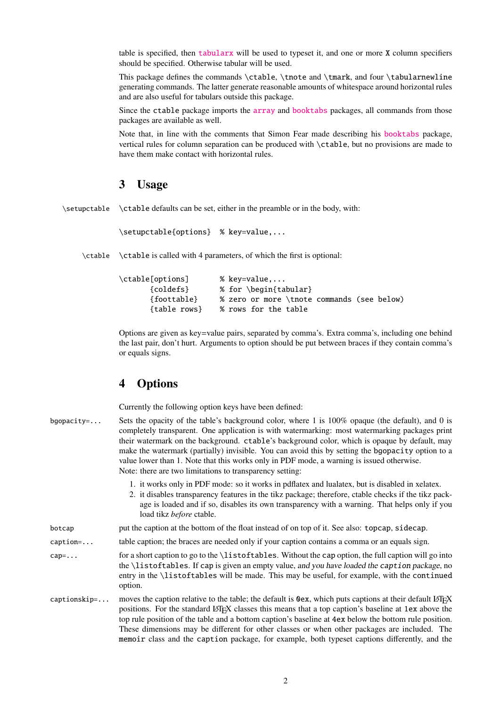table is specified, then [tabularx](http://www.ctan.org/pkg/tabularx) will be used to typeset it, and one or more X column specifiers should be specified. Otherwise tabular will be used.

This package defines the commands \ctable, \tnote and \tmark, and four \tabularnewline generating commands. The latter generate reasonable amounts of whitespace around horizontal rules and are also useful for tabulars outside this package.

Since the ctable package imports the [array](http://www.ctan.org/pkg/array) and [booktabs](http://www.ctan.org/pkg/booktabs) packages, all commands from those packages are available as well.

Note that, in line with the comments that Simon Fear made describing his [booktabs](http://www.ctan.org/pkg/booktabs) package, vertical rules for column separation can be produced with \ctable, but no provisions are made to have them make contact with horizontal rules.

### <span id="page-1-0"></span>3 Usage

\setupctable \ctable defaults can be set, either in the preamble or in the body, with:

```
\setupctable{options} % key=value,...
```
\ctable \ctable is called with 4 parameters, of which the first is optional:

| \ctable[options] | % key=value                                |
|------------------|--------------------------------------------|
| {coldefs}        | % for \begin{tabular}                      |
| {foottable}      | % zero or more \tnote commands (see below) |
| {table rows}     | % rows for the table                       |

Options are given as key=value pairs, separated by comma's. Extra comma's, including one behind the last pair, don't hurt. Arguments to option should be put between braces if they contain comma's or equals signs.

### <span id="page-1-1"></span>4 Options

Currently the following option keys have been defined:

| bqopacity= | Sets the opacity of the table's background color, where 1 is 100% opaque (the default), and 0 is  |
|------------|---------------------------------------------------------------------------------------------------|
|            | completely transparent. One application is with watermarking: most watermarking packages print    |
|            | their watermark on the background. ctable's background color, which is opaque by default, may     |
|            | make the watermark (partially) invisible. You can avoid this by setting the bgopacity option to a |
|            | value lower than 1. Note that this works only in PDF mode, a warning is issued otherwise.         |
|            | Note: there are two limitations to transparency setting:                                          |
|            |                                                                                                   |

- 1. it works only in PDF mode: so it works in pdflatex and lualatex, but is disabled in xelatex.
- 2. it disables transparency features in the tikz package; therefore, ctable checks if the tikz package is loaded and if so, disables its own transparency with a warning. That helps only if you load tikz *before* ctable.

```
botcap put the caption at the bottom of the float instead of on top of it. See also: topcap, sidecap.
```
caption=... table caption; the braces are needed only if your caption contains a comma or an equals sign.

cap=... for a short caption to go to the \listoftables. Without the cap option, the full caption will go into the \listoftables. If cap is given an empty value, and you have loaded the caption package, no entry in the \listoftables will be made. This may be useful, for example, with the continued option.

captionskip=... moves the caption relative to the table; the default is 0ex, which puts captions at their default  $\mathbb{E} \mathbb{E} \mathbb{E} \mathbb{E} \mathbb{E} \mathbb{E} \mathbb{E} \mathbb{E} \mathbb{E} \mathbb{E} \mathbb{E} \mathbb{E} \mathbb{E} \mathbb{E} \mathbb{E} \mathbb{E} \mathbb{E} \mathbb{$ positions. For the standard LATEX classes this means that a top caption's baseline at 1ex above the top rule position of the table and a bottom caption's baseline at 4ex below the bottom rule position. These dimensions may be different for other classes or when other packages are included. The memoir class and the caption package, for example, both typeset captions differently, and the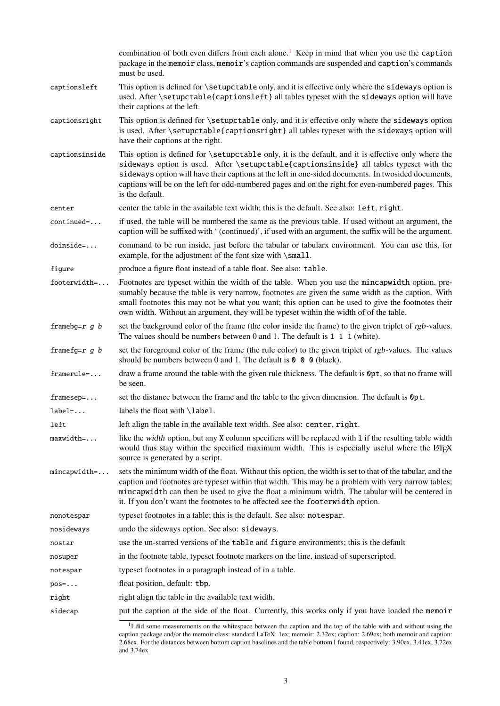|                  | combination of both even differs from each alone. <sup>1</sup> Keep in mind that when you use the caption<br>package in the memoir class, memoir's caption commands are suspended and caption's commands<br>must be used.                                                                                                                                                                                                      |
|------------------|--------------------------------------------------------------------------------------------------------------------------------------------------------------------------------------------------------------------------------------------------------------------------------------------------------------------------------------------------------------------------------------------------------------------------------|
| captionsleft     | This option is defined for \setupctable only, and it is effective only where the sideways option is<br>used. After \setupctable{captionsleft} all tables typeset with the sideways option will have<br>their captions at the left.                                                                                                                                                                                             |
| captionsright    | This option is defined for \setupctable only, and it is effective only where the sideways option<br>is used. After \setupctable{captionsright} all tables typeset with the sideways option will<br>have their captions at the right.                                                                                                                                                                                           |
| captionsinside   | This option is defined for \setupctable only, it is the default, and it is effective only where the<br>sideways option is used. After \setupctable{captionsinside} all tables typeset with the<br>sideways option will have their captions at the left in one-sided documents. In twosided documents,<br>captions will be on the left for odd-numbered pages and on the right for even-numbered pages. This<br>is the default. |
| center           | center the table in the available text width; this is the default. See also: left, right.                                                                                                                                                                                                                                                                                                                                      |
| continued=       | if used, the table will be numbered the same as the previous table. If used without an argument, the<br>caption will be suffixed with '(continued)', if used with an argument, the suffix will be the argument.                                                                                                                                                                                                                |
| doinside=        | command to be run inside, just before the tabular or tabularx environment. You can use this, for<br>example, for the adjustment of the font size with \small.                                                                                                                                                                                                                                                                  |
| figure           | produce a figure float instead of a table float. See also: table.                                                                                                                                                                                                                                                                                                                                                              |
| footerwidth=     | Footnotes are typeset within the width of the table. When you use the mincapwidth option, pre-<br>sumably because the table is very narrow, footnotes are given the same width as the caption. With<br>small footnotes this may not be what you want; this option can be used to give the footnotes their<br>own width. Without an argument, they will be typeset within the width of of the table.                            |
| framebg= $r$ g b | set the background color of the frame (the color inside the frame) to the given triplet of rgb-values.<br>The values should be numbers between 0 and 1. The default is $1\ 1\ 1$ (white).                                                                                                                                                                                                                                      |
| framefg= $r$ g b | set the foreground color of the frame (the rule color) to the given triplet of rgb-values. The values<br>should be numbers between 0 and 1. The default is $\theta \theta$ $\theta$ (black).                                                                                                                                                                                                                                   |
| framerule=       | draw a frame around the table with the given rule thickness. The default is $\Phi pt$ , so that no frame will<br>be seen.                                                                                                                                                                                                                                                                                                      |
| framesep=        | set the distance between the frame and the table to the given dimension. The default is Opt.                                                                                                                                                                                                                                                                                                                                   |
| $label=$         | labels the float with \label.                                                                                                                                                                                                                                                                                                                                                                                                  |
| left             | left align the table in the available text width. See also: center, right.                                                                                                                                                                                                                                                                                                                                                     |
| $maxwidth=$      | like the width option, but any X column specifiers will be replaced with 1 if the resulting table width<br>would thus stay within the specified maximum width. This is especially useful where the LATEX<br>source is generated by a script.                                                                                                                                                                                   |
| $mincapwidth=$   | sets the minimum width of the float. Without this option, the width is set to that of the tabular, and the<br>caption and footnotes are typeset within that width. This may be a problem with very narrow tables;<br>mincapwidth can then be used to give the float a minimum width. The tabular will be centered in<br>it. If you don't want the footnotes to be affected see the footerwidth option.                         |
| nonotespar       | typeset footnotes in a table; this is the default. See also: notespar.                                                                                                                                                                                                                                                                                                                                                         |
| nosideways       | undo the sideways option. See also: sideways.                                                                                                                                                                                                                                                                                                                                                                                  |
| nostar           | use the un-starred versions of the table and figure environments; this is the default                                                                                                                                                                                                                                                                                                                                          |
| nosuper          | in the footnote table, typeset footnote markers on the line, instead of superscripted.                                                                                                                                                                                                                                                                                                                                         |
| notespar         | typeset footnotes in a paragraph instead of in a table.                                                                                                                                                                                                                                                                                                                                                                        |
| $pos=$           | float position, default: tbp.                                                                                                                                                                                                                                                                                                                                                                                                  |
| right            | right align the table in the available text width.                                                                                                                                                                                                                                                                                                                                                                             |
| sidecap          | put the caption at the side of the float. Currently, this works only if you have loaded the memoir                                                                                                                                                                                                                                                                                                                             |

<span id="page-2-0"></span><sup>&</sup>lt;sup>1</sup>I did some measurements on the whitespace between the caption and the top of the table with and without using the caption package and/or the memoir class: standard LaTeX: 1ex; memoir: 2.32ex; caption: 2.69ex; both memoir and caption: 2.68ex. For the distances between bottom caption baselines and the table bottom I found, respectively: 3.90ex, 3.41ex, 3.72ex and 3.74ex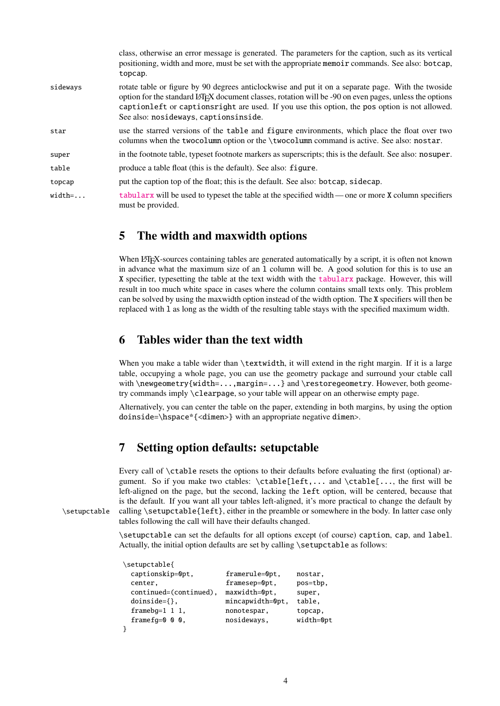|          | class, otherwise an error message is generated. The parameters for the caption, such as its vertical<br>positioning, width and more, must be set with the appropriate memoir commands. See also: botcap,<br>topcap.                                                                                                                                     |
|----------|---------------------------------------------------------------------------------------------------------------------------------------------------------------------------------------------------------------------------------------------------------------------------------------------------------------------------------------------------------|
| sideways | rotate table or figure by 90 degrees anticlockwise and put it on a separate page. With the two side<br>option for the standard LATEX document classes, rotation will be -90 on even pages, unless the options<br>captionleft or captionsright are used. If you use this option, the pos option is not allowed.<br>See also: nosideways, captionsinside. |
| star     | use the starred versions of the table and figure environments, which place the float over two<br>columns when the twocolumn option or the \twocolumn command is active. See also: nostar.                                                                                                                                                               |
| super    | in the footnote table, typeset footnote markers as superscripts; this is the default. See also: nosuper.                                                                                                                                                                                                                                                |
| table    | produce a table float (this is the default). See also: figure.                                                                                                                                                                                                                                                                                          |
| topcap   | put the caption top of the float; this is the default. See also: botcap, sidecap.                                                                                                                                                                                                                                                                       |
| $width=$ | tabularx will be used to typeset the table at the specified width — one or more X column specifiers<br>must be provided.                                                                                                                                                                                                                                |

### <span id="page-3-0"></span>5 The width and maxwidth options

When LATEX-sources containing tables are generated automatically by a script, it is often not known in advance what the maximum size of an l column will be. A good solution for this is to use an X specifier, typesetting the table at the text width with the [tabularx](http://www.ctan.org/pkg/tabularx) package. However, this will result in too much white space in cases where the column contains small texts only. This problem can be solved by using the maxwidth option instead of the width option. The X specifiers will then be replaced with l as long as the width of the resulting table stays with the specified maximum width.

### <span id="page-3-1"></span>6 Tables wider than the text width

When you make a table wider than \textwidth, it will extend in the right margin. If it is a large table, occupying a whole page, you can use the geometry package and surround your ctable call with \newgeometry{width=...,margin=...} and \restoregeometry. However, both geometry commands imply \clearpage, so your table will appear on an otherwise empty page.

Alternatively, you can center the table on the paper, extending in both margins, by using the option doinside=\hspace\*{<dimen>} with an appropriate negative dimen>.

### <span id="page-3-2"></span>7 Setting option defaults: setupctable

Every call of \ctable resets the options to their defaults before evaluating the first (optional) argument. So if you make two ctables: \ctable[left,... and \ctable[..., the first will be left-aligned on the page, but the second, lacking the left option, will be centered, because that is the default. If you want all your tables left-aligned, it's more practical to change the default by \setupctable calling \setupctable{left}, either in the preamble or somewhere in the body. In latter case only tables following the call will have their defaults changed.

\setupctable can set the defaults for all options except (of course) caption, cap, and label. Actually, the initial option defaults are set by calling \setupctable as follows:

| \setupctable{          |                  |           |
|------------------------|------------------|-----------|
| captionskip=0pt,       | framerule=0pt.   | nostar,   |
| center,                | framesep=0pt,    | pos=tbp.  |
| continued=(continued), | maxwidth=0pt.    | super,    |
| $doinside=\{}$ ,       | mincapwidth=0pt, | table,    |
| $framebg=1\;1\;1,$     | nonotespar,      | topcap.   |
| frame $fq=0$ 0 0,      | nosideways,      | width=0pt |
|                        |                  |           |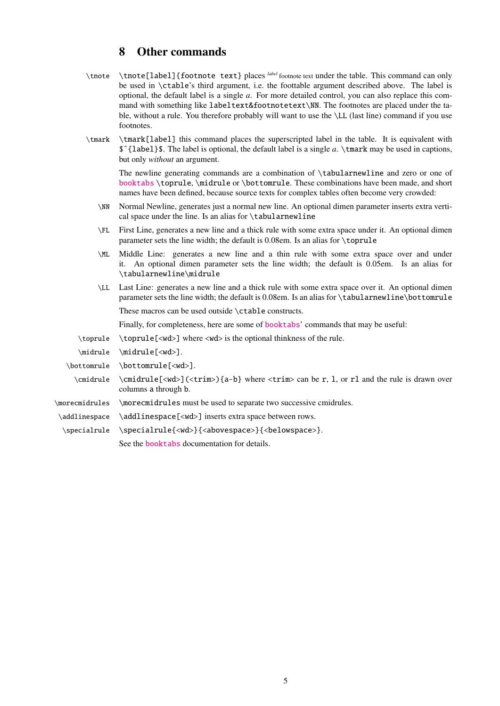# <span id="page-4-0"></span>8 Other commands

- \tnote \tnote[label]{footnote text} places *label* footnote text under the table. This command can only be used in \ctable's third argument, i.e. the foottable argument described above. The label is optional, the default label is a single *a*. For more detailed control, you can also replace this command with something like labeltext&footnotetext\NN. The footnotes are placed under the table, without a rule. You therefore probably will want to use the \LL (last line) command if you use footnotes.
- \tmark \tmark[label] this command places the superscripted label in the table. It is equivalent with \$ˆ{label}\$. The label is optional, the default label is a single *a*. \tmark may be used in captions, but only *without* an argument.

The newline generating commands are a combination of \tabularnewline and zero or one of [booktabs](http://www.ctan.org/pkg/booktabs) \toprule, \midrule or \bottomrule. These combinations have been made, and short names have been defined, because source texts for complex tables often become very crowded:

- \NN Normal Newline, generates just a normal new line. An optional dimen parameter inserts extra vertical space under the line. Is an alias for \tabularnewline
- \FL First Line, generates a new line and a thick rule with some extra space under it. An optional dimen parameter sets the line width; the default is 0.08em. Is an alias for \toprule
- \ML Middle Line: generates a new line and a thin rule with some extra space over and under it. An optional dimen parameter sets the line width; the default is 0.05em. Is an alias for \tabularnewline\midrule
- \LL Last Line: generates a new line and a thick rule with some extra space over it. An optional dimen parameter sets the line width; the default is 0.08em. Is an alias for \tabularnewline\bottomrule These macros can be used outside \ctable constructs.

Finally, for completeness, here are some of [booktabs](http://www.ctan.org/pkg/booktabs)' commands that may be useful:

\toprule \toprule  $\forall x$  \toprule  $\exists x$  where  $\forall x$  is the optional thinkness of the rule.

\midrule \midrule[<wd>].

\bottomrule \bottomrule[<wd>].

- \cmidrule \cmidrule[<wd>](<trim>){a-b} where <trim> can be r, l, or rl and the rule is drawn over columns a through b.
- \morecmidrules \morecmidrules must be used to separate two successive cmidrules.
- \addlinespace \addlinespace[<wd>] inserts extra space between rows.
- \specialrule \specialrule{<wd>}{<abovespace>}{<belowspace>}.

See the [booktabs](http://www.ctan.org/pkg/booktabs) documentation for details.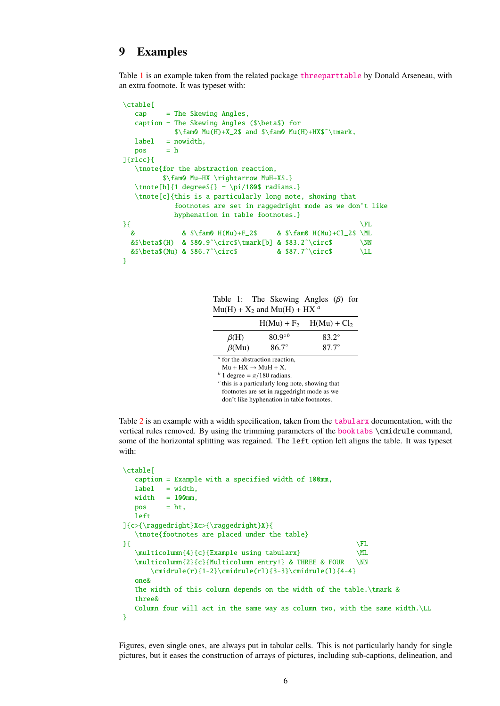### <span id="page-5-0"></span>9 Examples

Table [1](#page-5-1) is an example taken from the related package [threeparttable](http://www.ctan.org/pkg/threeparttable) by Donald Arseneau, with an extra footnote. It was typeset with:

```
\ctable[
  cap = The Skewing Angles,
  caption = The Skewing Angles ($\beta$) for
           \frac{m0 Mu(H)+X_2\ and \{\gamma Mu(H)+HX\ \tmark,
  label = nowidth,pos = h]{rlcc}{
  \tnote{for the abstraction reaction,
         $\fam0 Mu+HX \rightarrow MuH+X$.}
  \t{thote[b]}{1 degree${ } = \pi/180${ radians.}\tnote[c]{this is a particularly long note, showing that
           footnotes are set in raggedright mode as we don't like
           hyphenation in table footnotes.}
\{ \} \{ \}& \frac{8}{\text{Am0 H(Mu)}+F_2\ & \frac{\text{Am0 H(Mu)}+C_2\&$\beta$(H) & $80.9ˆ\circ$\tmark[b] & $83.2ˆ\circ$ \NN
 &$\beta$(Mu) & $86.7ˆ\circ$ & $87.7ˆ\circ$ \LL
}
```
<span id="page-5-1"></span>Table 1: The Skewing Angles (β) for  $Mu(H) + X_2$  and  $Mu(H) + HX^a$ 

|                                        | $H(Mu) + F2$     | $H(Mu) + Cl2$ |  |
|----------------------------------------|------------------|---------------|--|
| $\beta$ (H)                            | $80.9^{\circ b}$ | $83.2^\circ$  |  |
| $\beta$ (Mu)                           | $86.7^\circ$     | $87.7^\circ$  |  |
| $\alpha$ for the abstraction reaction, |                  |               |  |

 $Mu + HX \rightarrow MuH + X$ .

*b* 1 degree =  $\pi/180$  radians.

*c* this is a particularly long note, showing that

footnotes are set in raggedright mode as we

don't like hyphenation in table footnotes.

Table [2](#page-6-2) is an example with a width specification, taken from the [tabularx](http://www.ctan.org/pkg/tabularx) documentation, with the vertical rules removed. By using the trimming parameters of the [booktabs](http://www.ctan.org/pkg/booktabs) \cmidrule command, some of the horizontal splitting was regained. The left option left aligns the table. It was typeset with:

```
\ctable[
  caption = Example with a specified width of 100mm,
  label = width,
  width = 100mm,pos = ht,left
]{c>{\raggedright}Xc>{\raggedright}X}{
  \tnote{footnotes are placed under the table}
\{ \} \{ \}\multicolumn{4}{c}{Example using tabularx} \ML
  \multicolumn{2}{c}{Multicolumn entry!} & THREE & FOUR \NN
      \{\mathrm{r}\}_{1-2}\\mathrm{erl}\}_{3-3}\\mathrm{crl}(4-4\}one&
  The width of this column depends on the width of the table.\tmark &
  three&
  Column four will act in the same way as column two, with the same width.\LL
}
```
Figures, even single ones, are always put in tabular cells. This is not particularly handy for single pictures, but it eases the construction of arrays of pictures, including sub-captions, delineation, and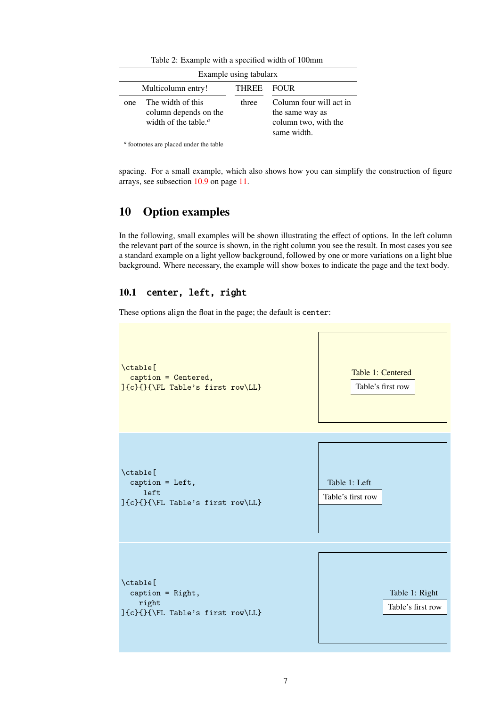| Example using tabularx |                                                                       |              |                                                                                   |
|------------------------|-----------------------------------------------------------------------|--------------|-----------------------------------------------------------------------------------|
|                        | Multicolumn entry!                                                    | <b>THREE</b> | – FOUR-                                                                           |
| one                    | The width of this<br>column depends on the<br>width of the table. $a$ | three        | Column four will act in<br>the same way as<br>column two, with the<br>same width. |

<span id="page-6-2"></span>Table 2: Example with a specified width of 100mm

*a* footnotes are placed under the table

spacing. For a small example, which also shows how you can simplify the construction of figure arrays, see subsection [10.9](#page-10-1) on page [11.](#page-10-1)

### <span id="page-6-0"></span>10 Option examples

In the following, small examples will be shown illustrating the effect of options. In the left column the relevant part of the source is shown, in the right column you see the result. In most cases you see a standard example on a light yellow background, followed by one or more variations on a light blue background. Where necessary, the example will show boxes to indicate the page and the text body.

### <span id="page-6-1"></span>10.1 center, left, right

These options align the float in the page; the default is center:

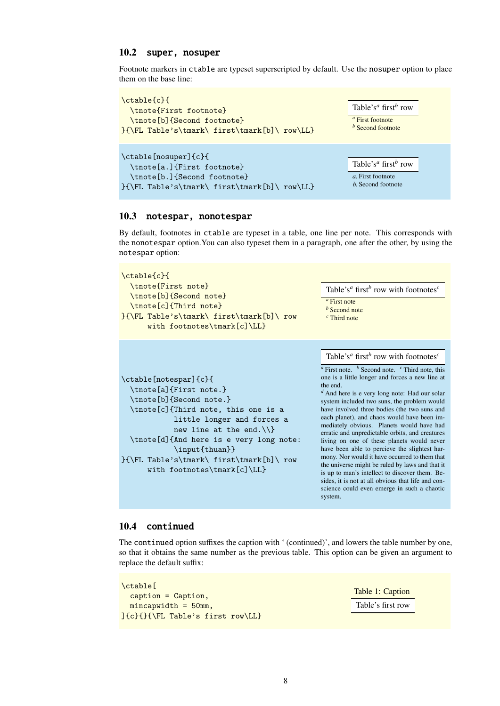#### <span id="page-7-0"></span>10.2 super, nosuper

Footnote markers in ctable are typeset superscripted by default. Use the nosuper option to place them on the base line:



#### <span id="page-7-1"></span>10.3 notespar, nonotespar

By default, footnotes in ctable are typeset in a table, one line per note. This corresponds with the nonotespar option.You can also typeset them in a paragraph, one after the other, by using the notespar option:

| \ctable{c}{<br>\tnote{First note}<br>\tnote[b]{Second note}<br>\tnote[c]{Third note}<br>}{\FL Table's\tmark\ first\tmark[b]\ row<br>with footnotes\tmark[c]\LL}                                                                                                                                                          | Table's <sup><i>a</i></sup> first <sup><i>b</i></sup> row with footnotes <sup><i>c</i></sup><br>$a$ First note<br>$b$ Second note<br>$\epsilon$ Third note                                                                                                                                                                                                                                                                                                                                                                                                                                                                                                                                                                                                                                                                                                                                 |
|--------------------------------------------------------------------------------------------------------------------------------------------------------------------------------------------------------------------------------------------------------------------------------------------------------------------------|--------------------------------------------------------------------------------------------------------------------------------------------------------------------------------------------------------------------------------------------------------------------------------------------------------------------------------------------------------------------------------------------------------------------------------------------------------------------------------------------------------------------------------------------------------------------------------------------------------------------------------------------------------------------------------------------------------------------------------------------------------------------------------------------------------------------------------------------------------------------------------------------|
| \ctable[notespar]{c}{<br>\tnote[a]{First note.}<br>\tnote[b]{Second note.}<br>\tnote[c]{Third note, this one is a<br>little longer and forces a<br>new line at the end. $\{\{\}$<br>\tnote[d]{And here is e very long note:<br>\input{thuan}}<br>}{\FL Table's\tmark\ first\tmark[b]\ row<br>with footnotes\tmark[c]\LL} | Table's <sup><i>a</i></sup> first <sup><i>b</i></sup> row with footnotes <sup><i>c</i></sup><br>$a$ First note. $b$ Second note. $c$ Third note, this<br>one is a little longer and forces a new line at<br>the end.<br>$d$ And here is e very long note: Had our solar<br>system included two suns, the problem would<br>have involved three bodies (the two suns and<br>each planet), and chaos would have been im-<br>mediately obvious. Planets would have had<br>erratic and unpredictable orbits, and creatures<br>living on one of these planets would never<br>have been able to percieve the slightest har-<br>mony. Nor would it have occurred to them that<br>the universe might be ruled by laws and that it<br>is up to man's intellect to discover them. Be-<br>sides, it is not at all obvious that life and con-<br>science could even emerge in such a chaotic<br>system. |

#### <span id="page-7-2"></span>10.4 continued

The continued option suffixes the caption with ' (continued)', and lowers the table number by one, so that it obtains the same number as the previous table. This option can be given an argument to replace the default suffix:

```
\ctable[
  caption = Caption,
  mincapwidth = 50mm,
]{c}{}{\FL Table's first row\LL}
```
Table 1: Caption Table's first row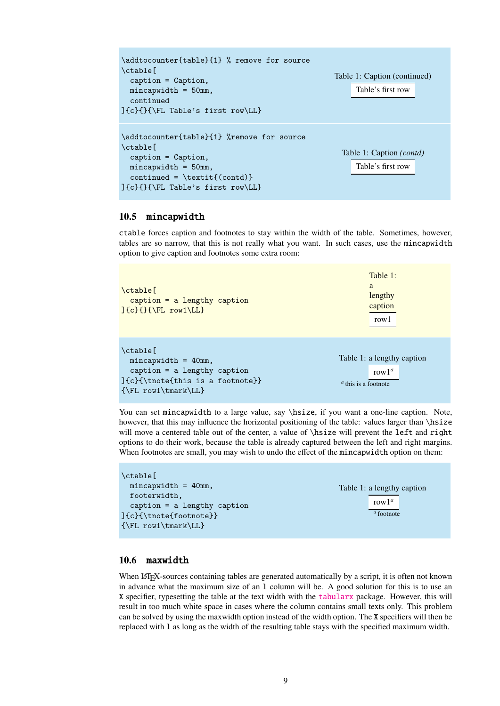```
\addtocounter{table}{1} % remove for source
\ctable[
  caption = Caption,
  mincapwidth = 50mm,
  continued
]{c}{}{\FL Table's first row\LL}
                                                      Table 1: Caption (continued)
                                                           Table's first row
\addtocounter{table}{1} %remove for source
\ctable[
  caption = Caption,
  mincapwidth = 50mm,
  continued = \text{count}(\text{contd})]{c}{}{\FL Table's first row\LL}
                                                        Table 1: Caption (contd)
                                                           Table's first row
```
#### <span id="page-8-0"></span>10.5 mincapwidth

ctable forces caption and footnotes to stay within the width of the table. Sometimes, however, tables are so narrow, that this is not really what you want. In such cases, use the mincapwidth option to give caption and footnotes some extra room:

| $\delta$<br>$caption = a lengthy caption$<br>$\left\{\{\}\{\}\right\}$ row1\LL}                                                                     | Table 1:<br>a<br>lengthy<br>caption<br>row1                       |
|-----------------------------------------------------------------------------------------------------------------------------------------------------|-------------------------------------------------------------------|
| $\chi$ ctable $\Gamma$<br>$mincapwidth = 40mm,$<br>$caption = a length y caption$<br>$(c)$ {\tnote{this is a footnote}}<br>$\{\FL\ row1\tmark\LL\}$ | Table 1: a lengthy caption<br>row $1^a$<br>$a$ this is a footnote |

You can set mincapwidth to a large value, say \hsize, if you want a one-line caption. Note, however, that this may influence the horizontal positioning of the table: values larger than \hsize will move a centered table out of the center, a value of  $\hbox{s}$  value will prevent the left and right options to do their work, because the table is already captured between the left and right margins. When footnotes are small, you may wish to undo the effect of the mincapwidth option on them:

| \ctable[                       |                            |
|--------------------------------|----------------------------|
| $mincapwidth = 40mm,$          | Table 1: a lengthy caption |
| footerwidth,                   | row $1^a$                  |
| $caption = a length y caption$ |                            |
| ]{c}{\tnote{footnote}}         | $a$ footnote               |
| $\{\FL\ row1\tmark\LL\}$       |                            |

#### <span id="page-8-1"></span>10.6 maxwidth

When LATEX-sources containing tables are generated automatically by a script, it is often not known in advance what the maximum size of an l column will be. A good solution for this is to use an X specifier, typesetting the table at the text width with the [tabularx](http://www.ctan.org/pkg/tabularx) package. However, this will result in too much white space in cases where the column contains small texts only. This problem can be solved by using the maxwidth option instead of the width option. The X specifiers will then be replaced with l as long as the width of the resulting table stays with the specified maximum width.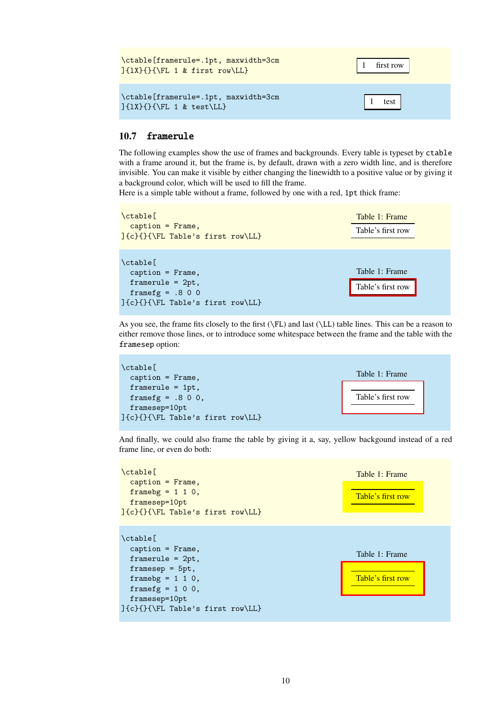| \ctable[framerule=.1pt, maxwidth=3cm<br>$\left[\frac{1}{1}\right]$           | first row |
|------------------------------------------------------------------------------|-----------|
| \ctable[framerule=.1pt, maxwidth=3cm<br>$]\{1X\}\{\FL 1 \& \text{test}\LL\}$ | test      |

#### <span id="page-9-0"></span>10.7 framerule

The following examples show the use of frames and backgrounds. Every table is typeset by ctable with a frame around it, but the frame is, by default, drawn with a zero width line, and is therefore invisible. You can make it visible by either changing the linewidth to a positive value or by giving it a background color, which will be used to fill the frame.

Here is a simple table without a frame, followed by one with a red, 1pt thick frame:

| $\chi$ $\chi$<br>$caption = F F F$<br>]{c}{}{\FL Table's first row\LL}                                                     | Table 1: Frame<br>Table's first row |
|----------------------------------------------------------------------------------------------------------------------------|-------------------------------------|
| $\chi$ ctable $\Gamma$<br>$caption = Frame,$<br>$framerule = 2pt,$<br>framefg = $.800$<br>]{c}{}{\FL Table's first row\LL} | Table 1: Frame<br>Table's first row |

As you see, the frame fits closely to the first (\FL) and last (\LL) table lines. This can be a reason to either remove those lines, or to introduce some whitespace between the frame and the table with the framesep option:



And finally, we could also frame the table by giving it a, say, yellow backgound instead of a red frame line, or even do both:

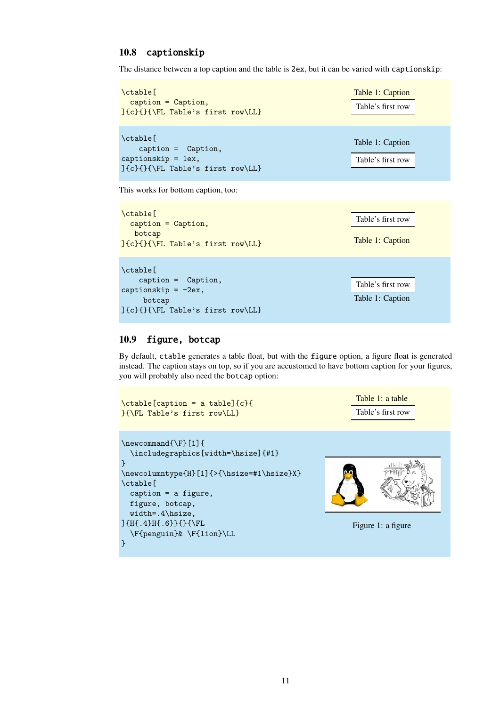### <span id="page-10-0"></span>10.8 captionskip

The distance between a top caption and the table is 2ex, but it can be varied with captionskip:

```
\ctable[
  caption = Caption,
]{c}{}{\FL Table's first row\LL}
                                                           Table 1: Caption
                                                           Table's first row
\ctable[
    caption = Caption,
captionskip = 1ex,
]{c}{}{\FL Table's first row\LL}
                                                           Table 1: Caption
                                                           Table's first row
```
This works for bottom caption, too:

| $\text{ctable}$<br>$caption = Caption,$<br>botcap<br>$\{c\}$ { $\{Y$ FL Table's first row\LL}                   | Table's first row<br>Table 1: Caption |  |
|-----------------------------------------------------------------------------------------------------------------|---------------------------------------|--|
| $\text{ctable}$<br>$caption =$ Caption,<br>captionskip = $-2ex$ ,<br>botcap<br>]{c}{}{\FL Table's first row\LL} | Table's first row<br>Table 1: Caption |  |

#### <span id="page-10-1"></span>10.9 figure, botcap

By default, ctable generates a table float, but with the figure option, a figure float is generated instead. The caption stays on top, so if you are accustomed to have bottom caption for your figures, you will probably also need the botcap option:

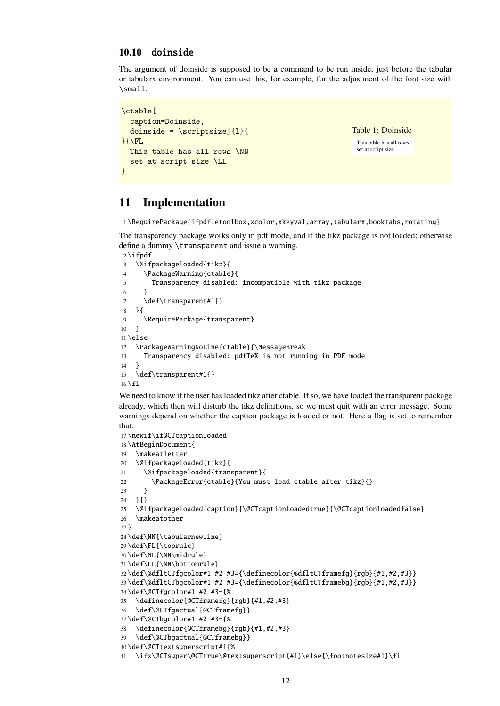### <span id="page-11-0"></span>10.10 doinside

The argument of doinside is supposed to be a command to be run inside, just before the tabular or tabularx environment. You can use this, for example, for the adjustment of the font size with \small:

```
\ctable[
  caption=Doinside,
  doinside = \scriptstyle\{1\}{
}{\FL
  This table has all rows \NN
  set at script size \LL
}
```

```
Table 1: Doinside
 This table has all rows
 set at script size
```
### <span id="page-11-1"></span>11 Implementation

1 \RequirePackage{ifpdf,etoolbox,xcolor,xkeyval,array,tabularx,booktabs,rotating}

The transparency package works only in pdf mode, and if the tikz package is not loaded; otherwise define a dummy \transparent and issue a warning.

```
2 \i{fpdf}3 \@ifpackageloaded{tikz}{
4 \PackageWarning{ctable}{
5 Transparency disabled: incompatible with tikz package
6 }
7 \def\transparent#1{}
8 }{
9 \RequirePackage{transparent}
10 }
11 \else
12 \PackageWarningNoLine{ctable}{\MessageBreak
13 Transparency disabled: pdfTeX is not running in PDF mode
14 }
15 \def\transparent#1{}
16 \setminus fi
```
We need to know if the user has loaded tikz after ctable. If so, we have loaded the transparent package already, which then will disturb the tikz definitions, so we must quit with an error message. Some warnings depend on whether the caption package is loaded or not. Here a flag is set to remember that.

```
17 \newif\if@CTcaptionloaded
18 \AtBeginDocument{
19 \makeatletter
20 \@ifpackageloaded{tikz}{
21 \@ifpackageloaded{transparent}{
22 \PackageError{ctable}{You must load ctable after tikz}{}
23 }
24 }{}
25 \@ifpackageloaded{caption}{\@CTcaptionloadedtrue}{\@CTcaptionloadedfalse}
26 \makeatother
27 }
28 \def\NN{\tabularnewline}
29 \def\FL{\toprule}
30 \def\ML{\NN\midrule}
31 \def\LL{\NN\bottomrule}
32 \def\@dfltCTfgcolor#1 #2 #3={\definecolor{@dfltCTframefg}{rgb}{#1,#2,#3}}
33 \def\@dfltCTbgcolor#1 #2 #3={\definecolor{@dfltCTframebg}{rgb}{#1,#2,#3}}
34 \def\@CTfgcolor#1 #2 #3={%
35 \definecolor{@CTframefg}{rgb}{#1,#2,#3}
36 \def\@CTfgactual{@CTframefg}}
37 \def\@CTbgcolor#1 #2 #3={%
38 \definecolor{@CTframebg}{rgb}{#1,#2,#3}
39 \def\@CTbgactual{@CTframebg}}
40 \def\@CTtextsuperscript#1{%
41 \ifx\@CTsuper\@CTtrue\@textsuperscript{#1}\else{\footnotesize#1}\fi
```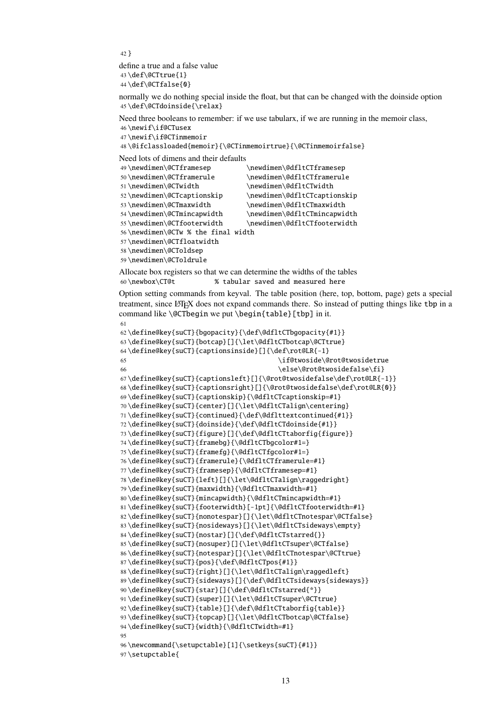```
42 }
```
define a true and a false value \def\@CTtrue{1} \def\@CTfalse{0}

normally we do nothing special inside the float, but that can be changed with the doinside option \def\@CTdoinside{\relax}

Need three booleans to remember: if we use tabularx, if we are running in the memoir class, \newif\if@CTusex

```
47 \newif\if@CTinmemoir
```
\@ifclassloaded{memoir}{\@CTinmemoirtrue}{\@CTinmemoirfalse}

Need lots of dimens and their defaults

```
49 \newdimen\@CTframesep \newdimen\@dfltCTframesep
50 \newdimen\@CTframerule \newdimen\@dfltCTframerule
51\newdimen\@CTwidth \newdimen\@dfltCTwidth
52 \newdimen\@CTcaptionskip \newdimen\@dfltCTcaptionskip
53\newdimen\@CTmaxwidth \newdimen\@dfltCTmaxwidth
54 \newdimen\@CTmincapwidth \newdimen\@dfltCTmincapwidth
55 \newdimen\@CTfooterwidth \newdimen\@dfltCTfooterwidth
56 \newdimen\@CTw % the final width
57 \newdimen\@CTfloatwidth
58 \newdimen\@CToldsep
59 \newdimen\@CToldrule
```
Allocate box registers so that we can determine the widths of the tables \newbox\CT@t % tabular saved and measured here

Option setting commands from keyval. The table position (here, top, bottom, page) gets a special treatment, since LATEX does not expand commands there. So instead of putting things like tbp in a command like \@CTbegin we put \begin{table}[tbp] in it. 

```
62 \define@key{suCT}{bgopacity}{\def\@dfltCTbgopacity{#1}}
63 \define@key{suCT}{botcap}[]{\let\@dfltCTbotcap\@CTtrue}
64 \define@key{suCT}{captionsinside}[]{\def\rot@LR{-1}
65 \if@twoside\@rot@twosidetrue
66 \else\@rot@twosidefalse\fi}
67 \define@key{suCT}{captionsleft}[]{\@rot@twosidefalse\def\rot@LR{-1}}
68 \define@key{suCT}{captionsright}[]{\@rot@twosidefalse\def\rot@LR{0}}
69 \define@key{suCT}{captionskip}{\@dfltCTcaptionskip=#1}
70 \define@key{suCT}{center}[]{\let\@dfltCTalign\centering}
71 \define@key{suCT}{continued}{\def\@dflttextcontinued{#1}}
72 \define@key{suCT}{doinside}{\def\@dfltCTdoinside{#1}}
73 \define@key{suCT}{figure}[]{\def\@dfltCTtaborfig{figure}}
74 \define@key{suCT}{framebg}{\@dfltCTbgcolor#1=}
75 \define@key{suCT}{framefg}{\@dfltCTfgcolor#1=}
76 \define@key{suCT}{framerule}{\@dfltCTframerule=#1}
77 \define@key{suCT}{framesep}{\@dfltCTframesep=#1}
78 \define@key{suCT}{left}[]{\let\@dfltCTalign\raggedright}
79 \define@key{suCT}{maxwidth}{\@dfltCTmaxwidth=#1}
80 \define@key{suCT}{mincapwidth}{\@dfltCTmincapwidth=#1}
81 \define@key{suCT}{footerwidth}[-1pt]{\@dfltCTfooterwidth=#1}
82 \define@key{suCT}{nonotespar}[]{\let\@dfltCTnotespar\@CTfalse}
83 \define@key{suCT}{nosideways}[]{\let\@dfltCTsideways\empty}
84 \define@key{suCT}{nostar}[]{\def\@dfltCTstarred{}}
85 \define@key{suCT}{nosuper}[]{\let\@dfltCTsuper\@CTfalse}
86 \define@key{suCT}{notespar}[]{\let\@dfltCTnotespar\@CTtrue}
87 \define@key{suCT}{pos}{\def\@dfltCTpos{#1}}
88 \define@key{suCT}{right}[]{\let\@dfltCTalign\raggedleft}
89 \define@key{suCT}{sideways}[]{\def\@dfltCTsideways{sideways}}
90 \define@key{suCT}{star}[]{\def\@dfltCTstarred{*}}
91 \define@key{suCT}{super}[]{\let\@dfltCTsuper\@CTtrue}
92 \define@key{suCT}{table}[]{\def\@dfltCTtaborfig{table}}
93 \define@key{suCT}{topcap}[]{\let\@dfltCTbotcap\@CTfalse}
94 \define@key{suCT}{width}{\@dfltCTwidth=#1}
95
96 \newcommand{\setupctable}[1]{\setkeys{suCT}{#1}}
97 \setupctable{
```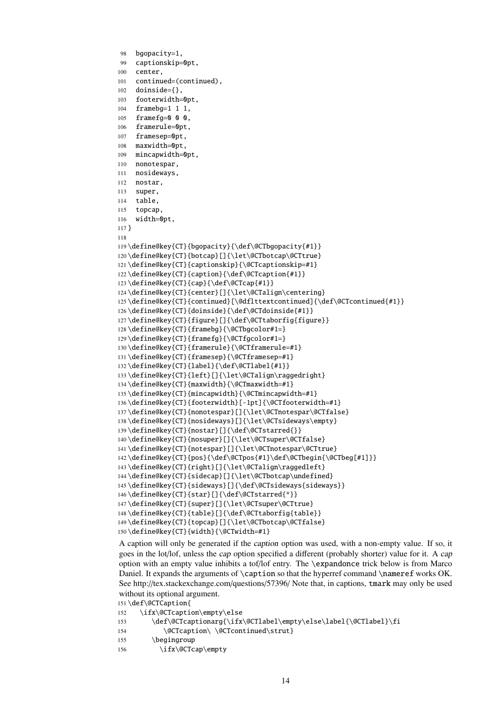```
98 bgopacity=1,
99 captionskip=0pt,
100 center,
101 continued=(continued),
102 doinside={},
103 footerwidth=0pt,
104 framebg=1 1 1,
105 framefg=0 0 0,
106 framerule=0pt,
107 framesep=0pt,
108 maxwidth=0pt,
109 mincapwidth=0pt,
110 nonotespar,
111 nosideways,
112 nostar,
113 super,
114 table,
115 topcap,
116 width=0pt,
117 }
118
119 \define@key{CT}{bgopacity}{\def\@CTbgopacity{#1}}
120 \define@key{CT}{botcap}[]{\let\@CTbotcap\@CTtrue}
121 \define@key{CT}{captionskip}{\@CTcaptionskip=#1}
122 \define@key{CT}{caption}{\def\@CTcaption{#1}}
123 \define@key{CT}{cap}{\def\@CTcap{#1}}
124 \define@key{CT}{center}[]{\let\@CTalign\centering}
125 \define@key{CT}{continued}[\@dflttextcontinued]{\def\@CTcontinued{#1}}
126 \define@key{CT}{doinside}{\def\@CTdoinside{#1}}
127\define@key{CT}{figure}[]{\def\@CTtaborfig{figure}}
128 \define@key{CT}{framebg}{\@CTbgcolor#1=}
129 \define@key{CT}{framefg}{\@CTfgcolor#1=}
130 \define@key{CT}{framerule}{\@CTframerule=#1}
131 \define@key{CT}{framesep}{\@CTframesep=#1}
132 \define@key{CT}{label}{\def\@CTlabel{#1}}
133 \define@key{CT}{left}[]{\let\@CTalign\raggedright}
134 \define@key{CT}{maxwidth}{\@CTmaxwidth=#1}
135 \define@key{CT}{mincapwidth}{\@CTmincapwidth=#1}
136 \define@key{CT}{footerwidth}[-1pt]{\@CTfooterwidth=#1}
137 \define@key{CT}{nonotespar}[]{\let\@CTnotespar\@CTfalse}
138 \define@key{CT}{nosideways}[]{\let\@CTsideways\empty}
139 \define@key{CT}{nostar}[]{\def\@CTstarred{}}
140 \define@key{CT}{nosuper}[]{\let\@CTsuper\@CTfalse}
141 \define@key{CT}{notespar}[]{\let\@CTnotespar\@CTtrue}
142 \define@key{CT}{pos}{\def\@CTpos{#1}\def\@CTbegin{\@CTbeg[#1]}}
143 \define@key{CT}{right}[]{\let\@CTalign\raggedleft}
144 \define@key{CT}{sidecap}[]{\let\@CTbotcap\undefined}
145 \define@key{CT}{sideways}[]{\def\@CTsideways{sideways}}
146 \define@key{CT}{star}[]{\def\@CTstarred{*}}
147 \define@key{CT}{super}[]{\let\@CTsuper\@CTtrue}
148 \define@key{CT}{table}[]{\def\@CTtaborfig{table}}
149 \define@key{CT}{topcap}[]{\let\@CTbotcap\@CTfalse}
150 \define@key{CT}{width}{\@CTwidth=#1}
```
A caption will only be generated if the caption option was used, with a non-empty value. If so, it goes in the lot/lof, unless the cap option specified a different (probably shorter) value for it. A cap option with an empty value inhibits a tof/lof entry. The \expandonce trick below is from Marco Daniel. It expands the arguments of \caption so that the hyperref command \nameref works OK. See http://tex.stackexchange.com/questions/57396/ Note that, in captions, tmark may only be used without its optional argument.

\def\@CTCaption{

| 152 | \ifx\@CTcaption\empty\else                                      |
|-----|-----------------------------------------------------------------|
| 153 | \def\@CTcaptionarq{\ifx\@CTlabel\empty\else\label{\@CTlabel}\fi |
| 154 | \@CTcaption\ \@CTcontinued\strut}                               |
| 155 | \begingroup                                                     |
| 156 | \ifx\@CTcap\empty                                               |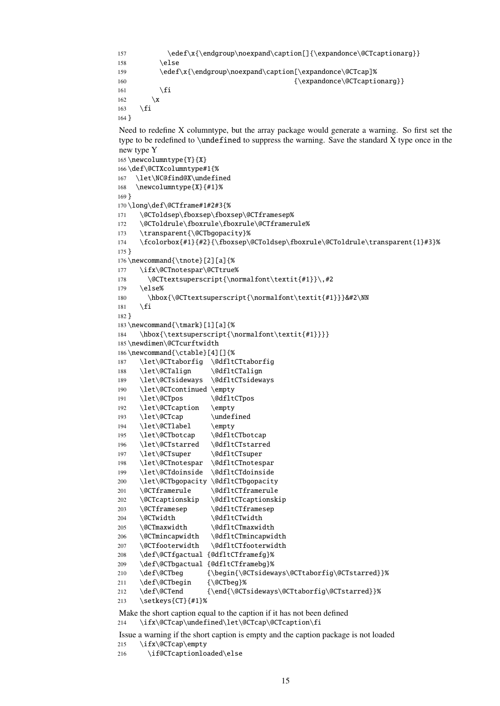```
157 \edef\x{\endgroup\noexpand\caption[]{\expandonce\@CTcaptionarg}}
158 \else
159 \edef\x{\endgroup\noexpand\caption[\expandonce\@CTcap]%
160 \{\exp\{\Theta\}\}161 \qquad \qquad \fi
162 \quad \text{rx}163 \quad \text{If}164 }
Need to redefine X columntype, but the array package would generate a warning. So first set the
type to be redefined to \undefined to suppress the warning. Save the standard X type once in the
new type Y
165 \newcolumntype{Y}{X}
166 \def\@CTXcolumntype#1{%
167 \let\NC@find@X\undefined
168 \newcolumntype{X}{#1}%
169 }
170 \long\def\@CTframe#1#2#3{%
171 \@CToldsep\fboxsep\fboxsep\@CTframesep%
172 \@CToldrule\fboxrule\fboxrule\@CTframerule%
173 \transparent{\@CTbgopacity}%
174 \fcolorbox{#1}{#2}{\fboxsep\@CToldsep\fboxrule\@CToldrule\transparent{1}#3}%
175 }
176 \newcommand{\tnote}[2][a]{%
177 \ifx\@CTnotespar\@CTtrue%
178 \@CTtextsuperscript{\normalfont\textit{#1}}\,#2
179 \else%
180 \hbox{\@CTtextsuperscript{\normalfont\textit{#1}}}&#2\NN
181 \setminusfi
182 }
183 \newcommand{\tmark}[1][a]{%
184 \hbox{\textsuperscript{\normalfont\textit{#1}}}}
185 \newdimen\@CTcurftwidth
186 \newcommand{\ctable}[4][]{%
187 \let\@CTtaborfig \@dfltCTtaborfig
188 \let\@CTalign \@dfltCTalign
189 \let\@CTsideways \@dfltCTsideways
190 \let\@CTcontinued \empty
191 \let\@CTpos \@dfltCTpos
192 \let\@CTcaption \empty
193 \let\@CTcap \undefined
194 \let\@CTlabel \empty
195 \let\@CTbotcap \@dfltCTbotcap
196 \let\@CTstarred \@dfltCTstarred
197 \let\@CTsuper \@dfltCTsuper
198 \let\@CTnotespar \@dfltCTnotespar
199 \let\@CTdoinside \@dfltCTdoinside
200 \let\@CTbgopacity \@dfltCTbgopacity
201 \@CTframerule \@dfltCTframerule
202 \@CTcaptionskip \@dfltCTcaptionskip
203 \@CTframesep \@dfltCTframesep
204 \@CTwidth \@dfltCTwidth
205 \@CTmaxwidth \@dfltCTmaxwidth
206 \@CTmincapwidth \@dfltCTmincapwidth
207 \@CTfooterwidth \@dfltCTfooterwidth
208 \def\@CTfgactual {@dfltCTframefg}%
209 \def\@CTbgactual {@dfltCTframebg}%
210 \def\@CTbeg {\begin{\@CTsideways\@CTtaborfig\@CTstarred}}%
211 \def\@CTbegin {\@CTbeg}%
212 \def\@CTend {\end{\@CTsideways\@CTtaborfig\@CTstarred}}%
213 \setkeys{CT}{#1}%
Make the short caption equal to the caption if it has not been defined
214 \ifx\@CTcap\undefined\let\@CTcap\@CTcaption\fi
```
Issue a warning if the short caption is empty and the caption package is not loaded \ifx\@CTcap\empty

216 \if@CTcaptionloaded\else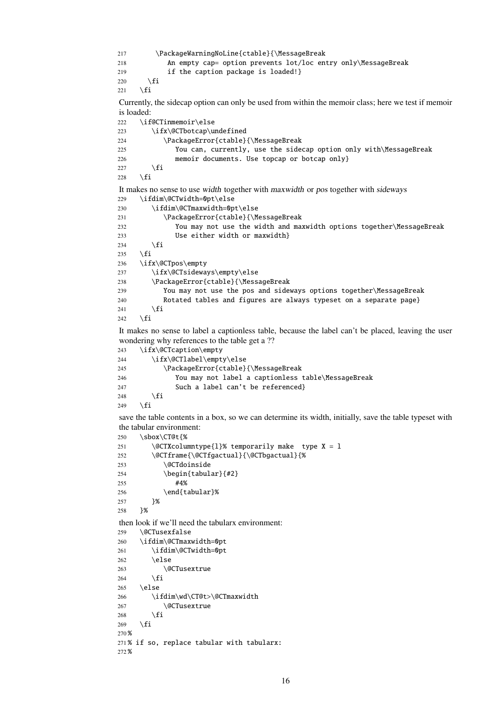```
217 \PackageWarningNoLine{ctable}{\MessageBreak
218 An empty cap= option prevents lot/loc entry only\MessageBreak
219 if the caption package is loaded!}
220 \setminus fi
221 \t\text{ } \sqrt{fi}Currently, the sidecap option can only be used from within the memoir class; here we test if memoir
is loaded:
222 \if@CTinmemoir\else
223 \ifx\@CTbotcap\undefined
224 \PackageError{ctable}{\MessageBreak
225 You can, currently, use the sidecap option only with\MessageBreak
226 memoir documents. Use topcap or botcap only}
227 \fi
228 \setminusfi
It makes no sense to use width together with maxwidth or pos together with sideways
229 \ifdim\@CTwidth=0pt\else
230 \ifdim\@CTmaxwidth=0pt\else
231 \PackageError{ctable}{\MessageBreak
232 You may not use the width and maxwidth options together\MessageBreak
233 Use either width or maxwidth}
234 \qquad \qquad \int fi
235 \forallfi
236 \ifx\@CTpos\empty
237 \ifx\@CTsideways\empty\else
238 \PackageError{ctable}{\MessageBreak
239 You may not use the pos and sideways options together\MessageBreak
240 Rotated tables and figures are always typeset on a separate page}
241 \setminus fi
242 \setminusfi
It makes no sense to label a captionless table, because the label can't be placed, leaving the user
wondering why references to the table get a ??
243 \ifx\@CTcaption\empty
244 \ifx\@CTlabel\empty\else
245 \PackageError{ctable}{\MessageBreak
246 You may not label a captionless table\MessageBreak
247 Such a label can't be referenced}
248 \setminusfi
249 \setminusfi
save the table contents in a box, so we can determine its width, initially, save the table typeset with
the tabular environment:
250 \sbox\CT@t{%
251 \@CTXcolumntype{l}% temporarily make type X = 1252 \@CTframe{\@CTfgactual}{\@CTbgactual}{%
253 \@CTdoinside
254 \begin{align} \begin{cases} \frac{1}{4} \end{cases}255 #4%
256 \end{tabular}%
257 }%
258 }%
then look if we'll need the tabularx environment:
259 \@CTusexfalse
260 \ifdim\@CTmaxwidth=0pt
261 \ifdim\@CTwidth=0pt
262 \else
263 \@CTusextrue
264 \qquad \qquad \setminus \text{fi}265 \else
266 \ifdim\wd\CT@t>\@CTmaxwidth
267 \sqrt{a} \sqrt{a} \sqrt{a} \sqrt{a} \sqrt{a} \sqrt{a} \sqrt{a} \sqrt{a} \sqrt{a} \sqrt{a} \sqrt{a} \sqrt{a} \sqrt{a} \sqrt{a} \sqrt{a} \sqrt{a} \sqrt{a} \sqrt{a} \sqrt{a} \sqrt{a} \sqrt{a} \sqrt{a} \sqrt{a} \sqrt{a} \sqrt{a} \sqrt{a} \sqrt{a}268 \setminusfi
269 \setminusfi
270 %
271 % if so, replace tabular with tabularx:
272 %
```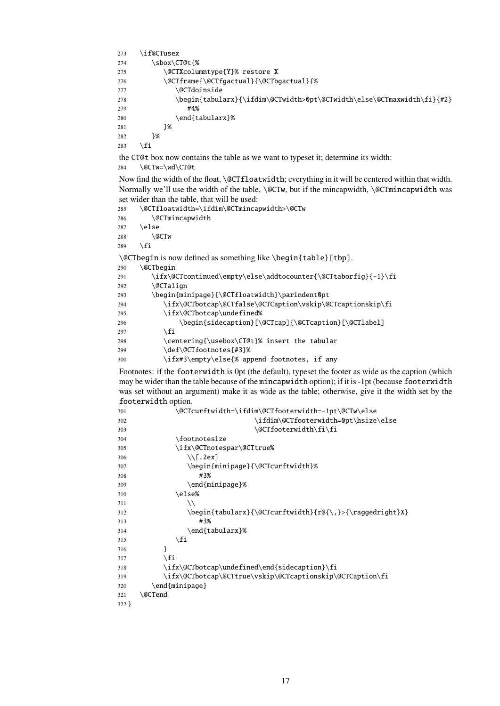```
273 \if@CTusex
274 \sbox\CT@t {%
275 \@CTXcolumntype{Y}% restore X
276 \@CTframe{\@CTfgactual}{\@CTbgactual}{%
277 \@CTdoinside
278 \begin{tabularx}{\ifdim\@CTwidth>0pt\@CTwidth\else\@CTmaxwidth\fi}{#2}
279 #4%
280 \end{tabularx}%
281 }%
282 }%
283 \fi
the CT@t box now contains the table as we want to typeset it; determine its width:
```
284 \@CTw=\wd\CT@t

Now find the width of the float, \@CTfloatwidth; everything in it will be centered within that width. Normally we'll use the width of the table,  $\@CTw$ , but if the mincapwidth,  $\@CTw$  incapwidth was set wider than the table, that will be used:

285 \@CTfloatwidth=\ifdim\@CTmincapwidth>\@CTw 286 \@CTmincapwidth  $287$  \else 288 \@CTw 289  $\setminus$ fi \@CTbegin is now defined as something like \begin{table}[tbp]. 290 \@CTbegin 291 \ifx\@CTcontinued\empty\else\addtocounter{\@CTtaborfig}{-1}\fi  $292 \qquad \qquad \qquad \text{QCTalian}$ 293 \begin{minipage}{\@CTfloatwidth}\parindent0pt 294 \ifx\@CTbotcap\@CTfalse\@CTCaption\vskip\@CTcaptionskip\fi 295 \ifx\@CTbotcap\undefined% 296 \begin{sidecaption}[\@CTcap]{\@CTcaption}[\@CTlabel] 297  $\setminus$ fi 298 \centering{\usebox\CT@t}% insert the tabular 299 \def\@CTfootnotes{#3}% 300 \ifx#3\empty\else{% append footnotes, if any

Footnotes: if the footerwidth is 0pt (the default), typeset the footer as wide as the caption (which may be wider than the table because of the mincapwidth option); if it is -1pt (because footerwidth was set without an argument) make it as wide as the table; otherwise, give it the width set by the footerwidth option.

```
301 \@CTcurftwidth=\ifdim\@CTfooterwidth=-1pt\@CTw\else
302 \ifdim\@CTfooterwidth=0pt\hsize\else
303 \@CTfooterwidth\fi\fi
304 \footnotesize
305 \ifx\@CTnotespar\@CTtrue%
306 \setminus [.2ex]
307 \begin{minipage}{\@CTcurftwidth}%
308 #3%
309 \end{minipage}%
310 \else%
311 \\
312 \begin{tabularx}{\@CTcurftwidth}{r@{\,}>{\raggedright}X}
313 #3%
314 \end{tabularx}%
315 \quad \text{if}316 }
317 \quad \text{If}318 \ifx\@CTbotcap\undefined\end{sidecaption}\fi
319 \ifx\@CTbotcap\@CTtrue\vskip\@CTcaptionskip\@CTCaption\fi
320 \end{minipage}
321 \@CTend
322 }
```